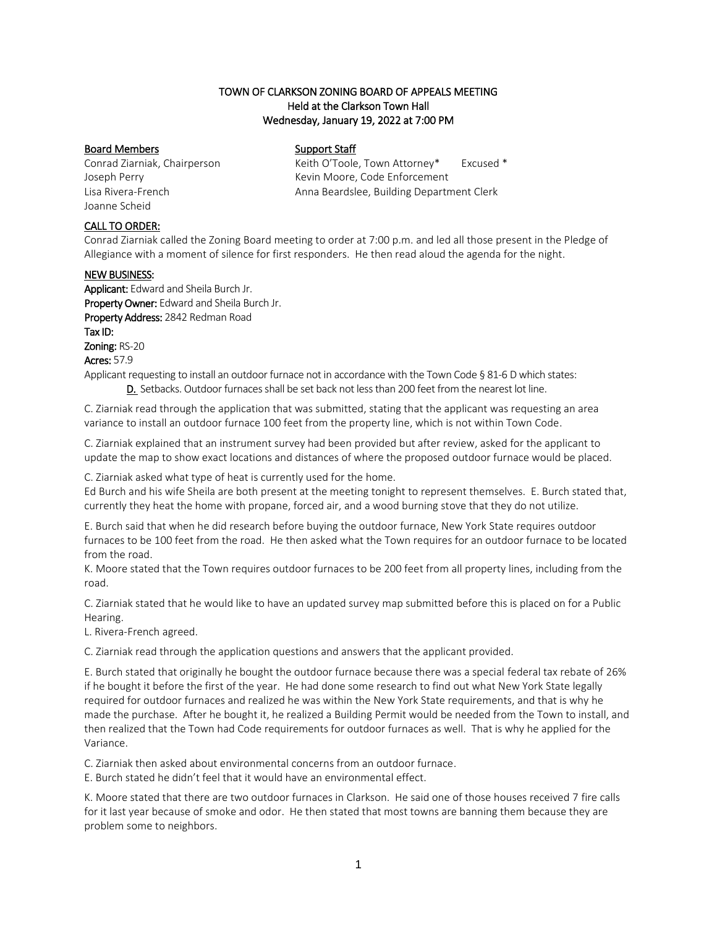# TOWN OF CLARKSON ZONING BOARD OF APPEALS MEETING Held at the Clarkson Town Hall Wednesday, January 19, 2022 at 7:00 PM

# Board Members Support Staff

Joanne Scheid

Conrad Ziarniak, Chairperson Keith O'Toole, Town Attorney\* Excused \* Joseph Perry **Kevin Moore, Code Enforcement** Lisa Rivera-French Anna Beardslee, Building Department Clerk

# CALL TO ORDER:

Conrad Ziarniak called the Zoning Board meeting to order at 7:00 p.m. and led all those present in the Pledge of Allegiance with a moment of silence for first responders. He then read aloud the agenda for the night.

### NEW BUSINESS:

Applicant: Edward and Sheila Burch Jr. Property Owner: Edward and Sheila Burch Jr. Property Address: 2842 Redman Road Tax ID: Zoning: RS-20 Acres: 57.9

Applicant requesting to install an outdoor furnace not in accordance with the Town Code § [81-6 D which states:](https://ecode360.com/8648842?highlight=outdoor&searchId=2142969966170875#8648843)  [D. S](https://ecode360.com/8648847#8648847)etbacks. Outdoor furnaces shall be set back not less than 200 feet from the nearest lot line.

C. Ziarniak read through the application that was submitted, stating that the applicant was requesting an area variance to install an outdoor furnace 100 feet from the property line, which is not within Town Code.

C. Ziarniak explained that an instrument survey had been provided but after review, asked for the applicant to update the map to show exact locations and distances of where the proposed outdoor furnace would be placed.

C. Ziarniak asked what type of heat is currently used for the home.

Ed Burch and his wife Sheila are both present at the meeting tonight to represent themselves. E. Burch stated that, currently they heat the home with propane, forced air, and a wood burning stove that they do not utilize.

E. Burch said that when he did research before buying the outdoor furnace, New York State requires outdoor furnaces to be 100 feet from the road. He then asked what the Town requires for an outdoor furnace to be located from the road.

K. Moore stated that the Town requires outdoor furnaces to be 200 feet from all property lines, including from the road.

C. Ziarniak stated that he would like to have an updated survey map submitted before this is placed on for a Public Hearing.

L. Rivera-French agreed.

C. Ziarniak read through the application questions and answers that the applicant provided.

E. Burch stated that originally he bought the outdoor furnace because there was a special federal tax rebate of 26% if he bought it before the first of the year. He had done some research to find out what New York State legally required for outdoor furnaces and realized he was within the New York State requirements, and that is why he made the purchase. After he bought it, he realized a Building Permit would be needed from the Town to install, and then realized that the Town had Code requirements for outdoor furnaces as well. That is why he applied for the Variance.

C. Ziarniak then asked about environmental concerns from an outdoor furnace.

E. Burch stated he didn't feel that it would have an environmental effect.

K. Moore stated that there are two outdoor furnaces in Clarkson. He said one of those houses received 7 fire calls for it last year because of smoke and odor. He then stated that most towns are banning them because they are problem some to neighbors.